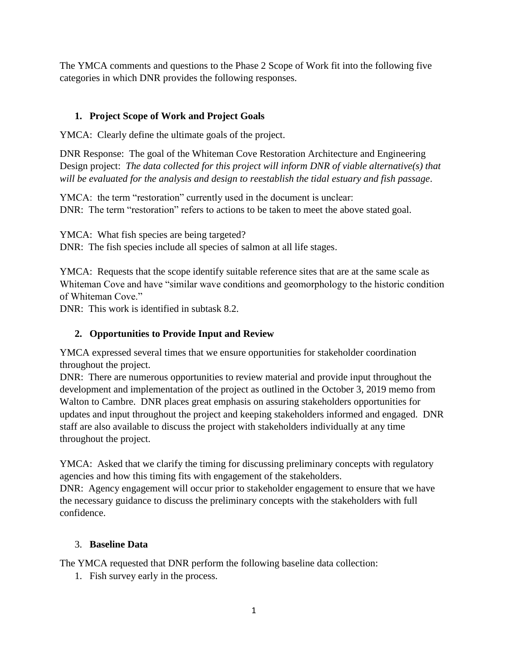The YMCA comments and questions to the Phase 2 Scope of Work fit into the following five categories in which DNR provides the following responses.

# **1. Project Scope of Work and Project Goals**

YMCA: Clearly define the ultimate goals of the project.

DNR Response: The goal of the Whiteman Cove Restoration Architecture and Engineering Design project: *The data collected for this project will inform DNR of viable alternative(s) that will be evaluated for the analysis and design to reestablish the tidal estuary and fish passage*.

YMCA: the term "restoration" currently used in the document is unclear: DNR: The term "restoration" refers to actions to be taken to meet the above stated goal.

YMCA: What fish species are being targeted?

DNR: The fish species include all species of salmon at all life stages.

YMCA: Requests that the scope identify suitable reference sites that are at the same scale as Whiteman Cove and have "similar wave conditions and geomorphology to the historic condition of Whiteman Cove."

DNR: This work is identified in subtask 8.2.

# **2. Opportunities to Provide Input and Review**

YMCA expressed several times that we ensure opportunities for stakeholder coordination throughout the project.

DNR: There are numerous opportunities to review material and provide input throughout the development and implementation of the project as outlined in the October 3, 2019 memo from Walton to Cambre. DNR places great emphasis on assuring stakeholders opportunities for updates and input throughout the project and keeping stakeholders informed and engaged. DNR staff are also available to discuss the project with stakeholders individually at any time throughout the project.

YMCA: Asked that we clarify the timing for discussing preliminary concepts with regulatory agencies and how this timing fits with engagement of the stakeholders.

DNR: Agency engagement will occur prior to stakeholder engagement to ensure that we have the necessary guidance to discuss the preliminary concepts with the stakeholders with full confidence.

#### 3. **Baseline Data**

The YMCA requested that DNR perform the following baseline data collection:

1. Fish survey early in the process.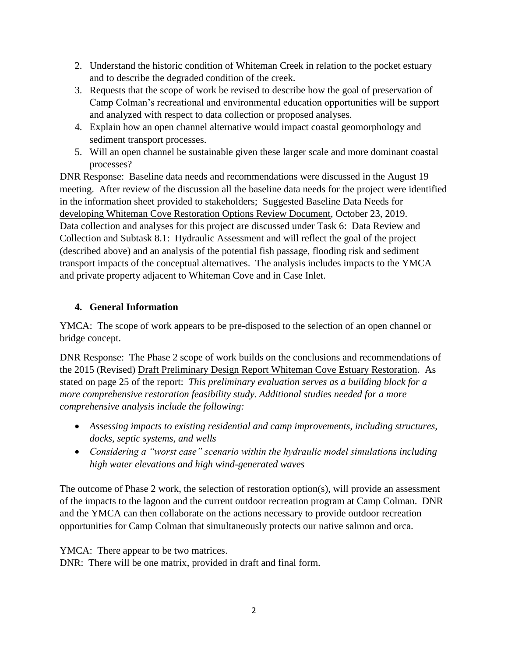- 2. Understand the historic condition of Whiteman Creek in relation to the pocket estuary and to describe the degraded condition of the creek.
- 3. Requests that the scope of work be revised to describe how the goal of preservation of Camp Colman's recreational and environmental education opportunities will be support and analyzed with respect to data collection or proposed analyses.
- 4. Explain how an open channel alternative would impact coastal geomorphology and sediment transport processes.
- 5. Will an open channel be sustainable given these larger scale and more dominant coastal processes?

DNR Response: Baseline data needs and recommendations were discussed in the August 19 meeting. After review of the discussion all the baseline data needs for the project were identified in the information sheet provided to stakeholders; Suggested Baseline Data Needs for developing Whiteman Cove Restoration Options Review Document, October 23, 2019. Data collection and analyses for this project are discussed under Task 6: Data Review and Collection and Subtask 8.1: Hydraulic Assessment and will reflect the goal of the project (described above) and an analysis of the potential fish passage, flooding risk and sediment transport impacts of the conceptual alternatives. The analysis includes impacts to the YMCA and private property adjacent to Whiteman Cove and in Case Inlet.

# **4. General Information**

YMCA: The scope of work appears to be pre-disposed to the selection of an open channel or bridge concept.

DNR Response: The Phase 2 scope of work builds on the conclusions and recommendations of the 2015 (Revised) Draft Preliminary Design Report Whiteman Cove Estuary Restoration*.* As stated on page 25 of the report: *This preliminary evaluation serves as a building block for a more comprehensive restoration feasibility study. Additional studies needed for a more comprehensive analysis include the following:*

- *Assessing impacts to existing residential and camp improvements, including structures, docks, septic systems, and wells*
- *Considering a "worst case" scenario within the hydraulic model simulations including high water elevations and high wind-generated waves*

The outcome of Phase 2 work, the selection of restoration option(s), will provide an assessment of the impacts to the lagoon and the current outdoor recreation program at Camp Colman. DNR and the YMCA can then collaborate on the actions necessary to provide outdoor recreation opportunities for Camp Colman that simultaneously protects our native salmon and orca.

YMCA: There appear to be two matrices.

DNR: There will be one matrix, provided in draft and final form.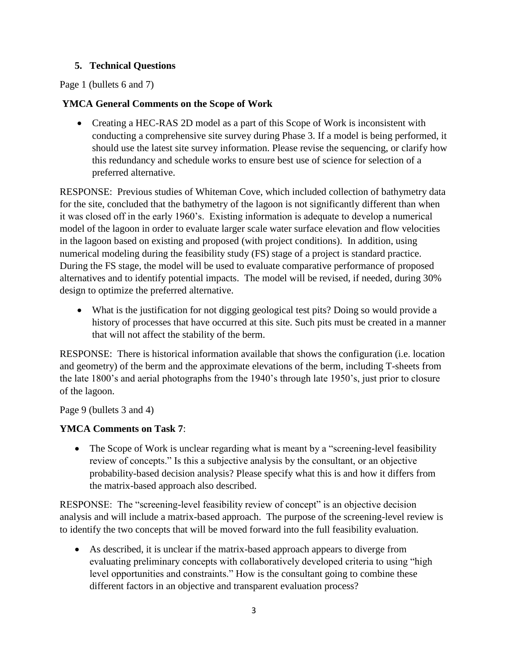## **5. Technical Questions**

Page 1 (bullets 6 and 7)

#### **YMCA General Comments on the Scope of Work**

• Creating a HEC-RAS 2D model as a part of this Scope of Work is inconsistent with conducting a comprehensive site survey during Phase 3. If a model is being performed, it should use the latest site survey information. Please revise the sequencing, or clarify how this redundancy and schedule works to ensure best use of science for selection of a preferred alternative.

RESPONSE: Previous studies of Whiteman Cove, which included collection of bathymetry data for the site, concluded that the bathymetry of the lagoon is not significantly different than when it was closed off in the early 1960's. Existing information is adequate to develop a numerical model of the lagoon in order to evaluate larger scale water surface elevation and flow velocities in the lagoon based on existing and proposed (with project conditions). In addition, using numerical modeling during the feasibility study (FS) stage of a project is standard practice. During the FS stage, the model will be used to evaluate comparative performance of proposed alternatives and to identify potential impacts. The model will be revised, if needed, during 30% design to optimize the preferred alternative.

 What is the justification for not digging geological test pits? Doing so would provide a history of processes that have occurred at this site. Such pits must be created in a manner that will not affect the stability of the berm.

RESPONSE: There is historical information available that shows the configuration (i.e. location and geometry) of the berm and the approximate elevations of the berm, including T-sheets from the late 1800's and aerial photographs from the 1940's through late 1950's, just prior to closure of the lagoon.

Page 9 (bullets 3 and 4)

# **YMCA Comments on Task 7**:

• The Scope of Work is unclear regarding what is meant by a "screening-level feasibility" review of concepts." Is this a subjective analysis by the consultant, or an objective probability-based decision analysis? Please specify what this is and how it differs from the matrix-based approach also described.

RESPONSE: The "screening-level feasibility review of concept" is an objective decision analysis and will include a matrix-based approach. The purpose of the screening-level review is to identify the two concepts that will be moved forward into the full feasibility evaluation.

 As described, it is unclear if the matrix-based approach appears to diverge from evaluating preliminary concepts with collaboratively developed criteria to using "high level opportunities and constraints." How is the consultant going to combine these different factors in an objective and transparent evaluation process?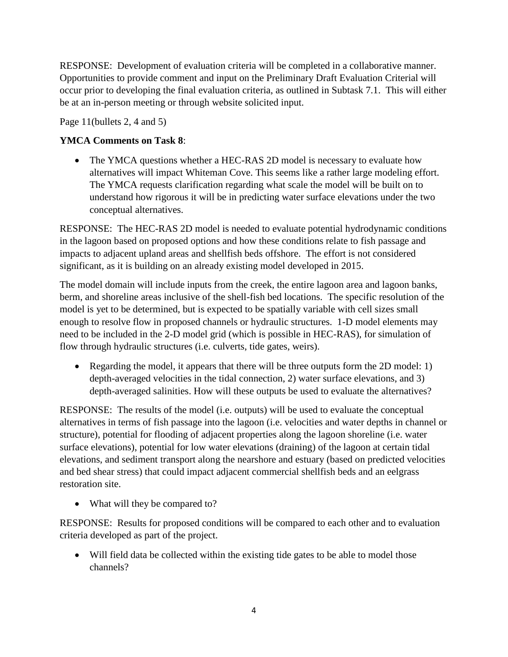RESPONSE: Development of evaluation criteria will be completed in a collaborative manner. Opportunities to provide comment and input on the Preliminary Draft Evaluation Criterial will occur prior to developing the final evaluation criteria, as outlined in Subtask 7.1. This will either be at an in-person meeting or through website solicited input.

Page 11(bullets 2, 4 and 5)

## **YMCA Comments on Task 8**:

• The YMCA questions whether a HEC-RAS 2D model is necessary to evaluate how alternatives will impact Whiteman Cove. This seems like a rather large modeling effort. The YMCA requests clarification regarding what scale the model will be built on to understand how rigorous it will be in predicting water surface elevations under the two conceptual alternatives.

RESPONSE: The HEC-RAS 2D model is needed to evaluate potential hydrodynamic conditions in the lagoon based on proposed options and how these conditions relate to fish passage and impacts to adjacent upland areas and shellfish beds offshore. The effort is not considered significant, as it is building on an already existing model developed in 2015.

The model domain will include inputs from the creek, the entire lagoon area and lagoon banks, berm, and shoreline areas inclusive of the shell-fish bed locations. The specific resolution of the model is yet to be determined, but is expected to be spatially variable with cell sizes small enough to resolve flow in proposed channels or hydraulic structures. 1-D model elements may need to be included in the 2-D model grid (which is possible in HEC-RAS), for simulation of flow through hydraulic structures (i.e. culverts, tide gates, weirs).

• Regarding the model, it appears that there will be three outputs form the 2D model: 1) depth-averaged velocities in the tidal connection, 2) water surface elevations, and 3) depth-averaged salinities. How will these outputs be used to evaluate the alternatives?

RESPONSE: The results of the model (i.e. outputs) will be used to evaluate the conceptual alternatives in terms of fish passage into the lagoon (i.e. velocities and water depths in channel or structure), potential for flooding of adjacent properties along the lagoon shoreline (i.e. water surface elevations), potential for low water elevations (draining) of the lagoon at certain tidal elevations, and sediment transport along the nearshore and estuary (based on predicted velocities and bed shear stress) that could impact adjacent commercial shellfish beds and an eelgrass restoration site.

• What will they be compared to?

RESPONSE: Results for proposed conditions will be compared to each other and to evaluation criteria developed as part of the project.

 Will field data be collected within the existing tide gates to be able to model those channels?